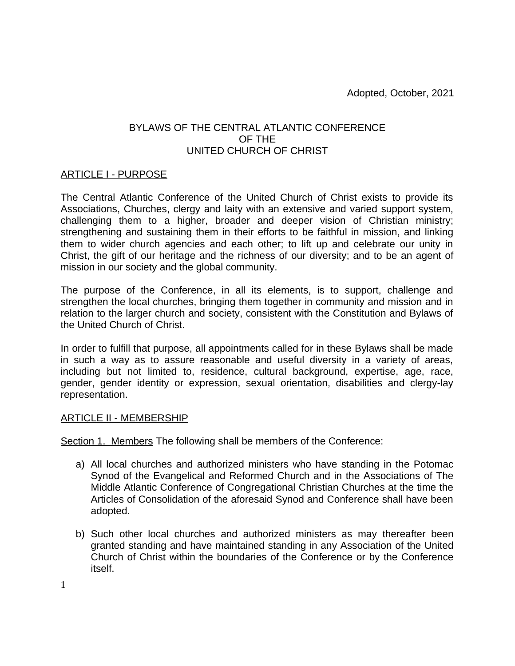# BYLAWS OF THE CENTRAL ATLANTIC CONFERENCE OF THE UNITED CHURCH OF CHRIST

### ARTICLE I - PURPOSE

The Central Atlantic Conference of the United Church of Christ exists to provide its Associations, Churches, clergy and laity with an extensive and varied support system, challenging them to a higher, broader and deeper vision of Christian ministry; strengthening and sustaining them in their efforts to be faithful in mission, and linking them to wider church agencies and each other; to lift up and celebrate our unity in Christ, the gift of our heritage and the richness of our diversity; and to be an agent of mission in our society and the global community.

The purpose of the Conference, in all its elements, is to support, challenge and strengthen the local churches, bringing them together in community and mission and in relation to the larger church and society, consistent with the Constitution and Bylaws of the United Church of Christ.

In order to fulfill that purpose, all appointments called for in these Bylaws shall be made in such a way as to assure reasonable and useful diversity in a variety of areas, including but not limited to, residence, cultural background, expertise, age, race, gender, gender identity or expression, sexual orientation, disabilities and clergy-lay representation.

### ARTICLE II - MEMBERSHIP

Section 1. Members The following shall be members of the Conference:

- a) All local churches and authorized ministers who have standing in the Potomac Synod of the Evangelical and Reformed Church and in the Associations of The Middle Atlantic Conference of Congregational Christian Churches at the time the Articles of Consolidation of the aforesaid Synod and Conference shall have been adopted.
- b) Such other local churches and authorized ministers as may thereafter been granted standing and have maintained standing in any Association of the United Church of Christ within the boundaries of the Conference or by the Conference itself.

1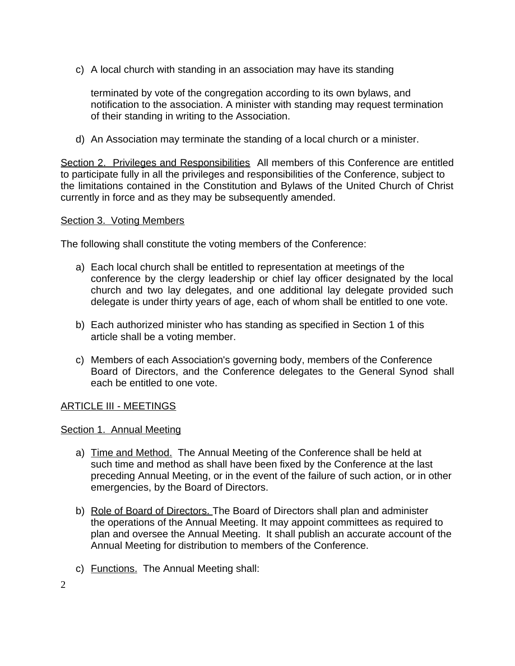c) A local church with standing in an association may have its standing

terminated by vote of the congregation according to its own bylaws, and notification to the association. A minister with standing may request termination of their standing in writing to the Association.

d) An Association may terminate the standing of a local church or a minister.

Section 2. Privileges and Responsibilities All members of this Conference are entitled to participate fully in all the privileges and responsibilities of the Conference, subject to the limitations contained in the Constitution and Bylaws of the United Church of Christ currently in force and as they may be subsequently amended.

#### Section 3. Voting Members

The following shall constitute the voting members of the Conference:

- a) Each local church shall be entitled to representation at meetings of the conference by the clergy leadership or chief lay officer designated by the local church and two lay delegates, and one additional lay delegate provided such delegate is under thirty years of age, each of whom shall be entitled to one vote.
- b) Each authorized minister who has standing as specified in Section 1 of this article shall be a voting member.
- c) Members of each Association's governing body, members of the Conference Board of Directors, and the Conference delegates to the General Synod shall each be entitled to one vote.

### ARTICLE III - MEETINGS

### Section 1. Annual Meeting

- a) Time and Method. The Annual Meeting of the Conference shall be held at such time and method as shall have been fixed by the Conference at the last preceding Annual Meeting, or in the event of the failure of such action, or in other emergencies, by the Board of Directors.
- b) Role of Board of Directors. The Board of Directors shall plan and administer the operations of the Annual Meeting. It may appoint committees as required to plan and oversee the Annual Meeting. It shall publish an accurate account of the Annual Meeting for distribution to members of the Conference.
- c) Functions. The Annual Meeting shall: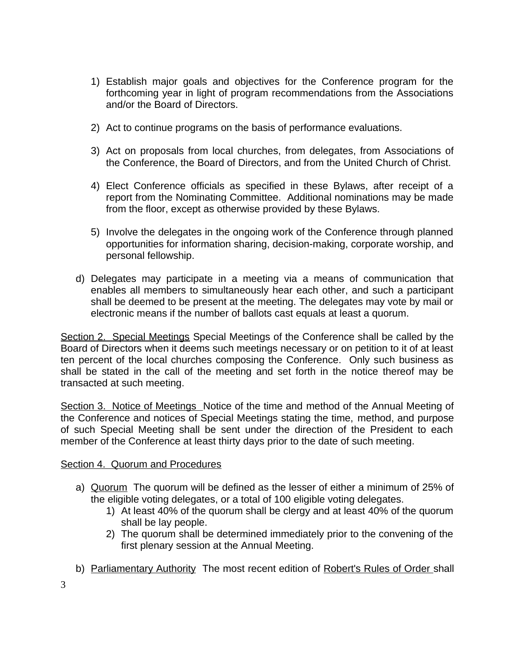- 1) Establish major goals and objectives for the Conference program for the forthcoming year in light of program recommendations from the Associations and/or the Board of Directors.
- 2) Act to continue programs on the basis of performance evaluations.
- 3) Act on proposals from local churches, from delegates, from Associations of the Conference, the Board of Directors, and from the United Church of Christ.
- 4) Elect Conference officials as specified in these Bylaws, after receipt of a report from the Nominating Committee. Additional nominations may be made from the floor, except as otherwise provided by these Bylaws.
- 5) Involve the delegates in the ongoing work of the Conference through planned opportunities for information sharing, decision-making, corporate worship, and personal fellowship.
- d) Delegates may participate in a meeting via a means of communication that enables all members to simultaneously hear each other, and such a participant shall be deemed to be present at the meeting. The delegates may vote by mail or electronic means if the number of ballots cast equals at least a quorum.

Section 2. Special Meetings Special Meetings of the Conference shall be called by the Board of Directors when it deems such meetings necessary or on petition to it of at least ten percent of the local churches composing the Conference. Only such business as shall be stated in the call of the meeting and set forth in the notice thereof may be transacted at such meeting.

Section 3. Notice of Meetings Notice of the time and method of the Annual Meeting of the Conference and notices of Special Meetings stating the time, method, and purpose of such Special Meeting shall be sent under the direction of the President to each member of the Conference at least thirty days prior to the date of such meeting.

## Section 4. Quorum and Procedures

- a) Quorum The quorum will be defined as the lesser of either a minimum of 25% of the eligible voting delegates, or a total of 100 eligible voting delegates.
	- 1) At least 40% of the quorum shall be clergy and at least 40% of the quorum shall be lay people.
	- 2) The quorum shall be determined immediately prior to the convening of the first plenary session at the Annual Meeting.
- b) Parliamentary Authority The most recent edition of Robert's Rules of Order shall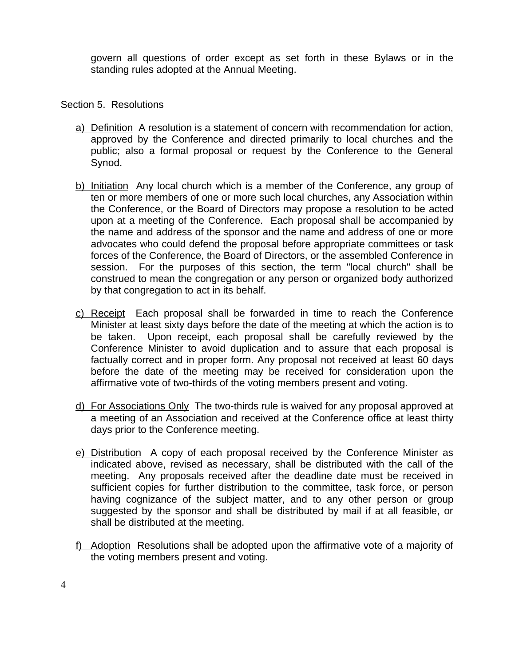govern all questions of order except as set forth in these Bylaws or in the standing rules adopted at the Annual Meeting.

### Section 5. Resolutions

- a) Definition A resolution is a statement of concern with recommendation for action, approved by the Conference and directed primarily to local churches and the public; also a formal proposal or request by the Conference to the General Synod.
- b) Initiation Any local church which is a member of the Conference, any group of ten or more members of one or more such local churches, any Association within the Conference, or the Board of Directors may propose a resolution to be acted upon at a meeting of the Conference. Each proposal shall be accompanied by the name and address of the sponsor and the name and address of one or more advocates who could defend the proposal before appropriate committees or task forces of the Conference, the Board of Directors, or the assembled Conference in session. For the purposes of this section, the term "local church" shall be construed to mean the congregation or any person or organized body authorized by that congregation to act in its behalf.
- c) Receipt Each proposal shall be forwarded in time to reach the Conference Minister at least sixty days before the date of the meeting at which the action is to be taken. Upon receipt, each proposal shall be carefully reviewed by the Conference Minister to avoid duplication and to assure that each proposal is factually correct and in proper form. Any proposal not received at least 60 days before the date of the meeting may be received for consideration upon the affirmative vote of two-thirds of the voting members present and voting.
- d) For Associations Only The two-thirds rule is waived for any proposal approved at a meeting of an Association and received at the Conference office at least thirty days prior to the Conference meeting.
- e) Distribution A copy of each proposal received by the Conference Minister as indicated above, revised as necessary, shall be distributed with the call of the meeting. Any proposals received after the deadline date must be received in sufficient copies for further distribution to the committee, task force, or person having cognizance of the subject matter, and to any other person or group suggested by the sponsor and shall be distributed by mail if at all feasible, or shall be distributed at the meeting.
- f) Adoption Resolutions shall be adopted upon the affirmative vote of a majority of the voting members present and voting.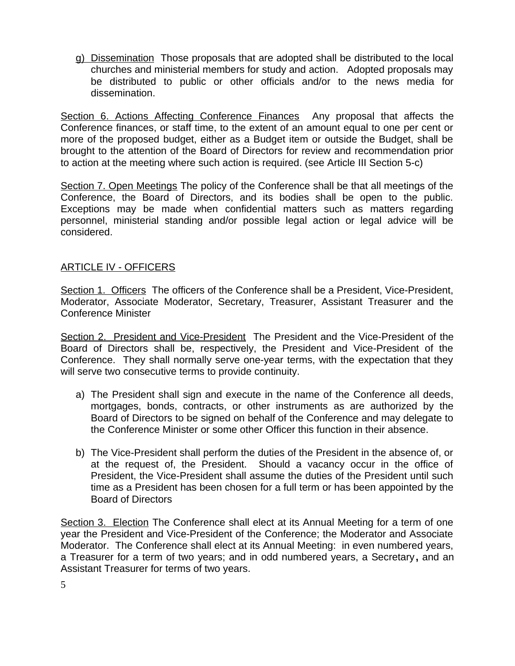g) Dissemination Those proposals that are adopted shall be distributed to the local churches and ministerial members for study and action. Adopted proposals may be distributed to public or other officials and/or to the news media for dissemination.

Section 6. Actions Affecting Conference Finances Any proposal that affects the Conference finances, or staff time, to the extent of an amount equal to one per cent or more of the proposed budget, either as a Budget item or outside the Budget, shall be brought to the attention of the Board of Directors for review and recommendation prior to action at the meeting where such action is required. (see Article III Section 5-c)

Section 7. Open Meetings The policy of the Conference shall be that all meetings of the Conference, the Board of Directors, and its bodies shall be open to the public. Exceptions may be made when confidential matters such as matters regarding personnel, ministerial standing and/or possible legal action or legal advice will be considered.

## ARTICLE IV - OFFICERS

Section 1. Officers The officers of the Conference shall be a President, Vice-President, Moderator, Associate Moderator, Secretary, Treasurer, Assistant Treasurer and the Conference Minister

Section 2. President and Vice-President The President and the Vice-President of the Board of Directors shall be, respectively, the President and Vice-President of the Conference. They shall normally serve one-year terms, with the expectation that they will serve two consecutive terms to provide continuity.

- a) The President shall sign and execute in the name of the Conference all deeds, mortgages, bonds, contracts, or other instruments as are authorized by the Board of Directors to be signed on behalf of the Conference and may delegate to the Conference Minister or some other Officer this function in their absence.
- b) The Vice-President shall perform the duties of the President in the absence of, or at the request of, the President. Should a vacancy occur in the office of President, the Vice-President shall assume the duties of the President until such time as a President has been chosen for a full term or has been appointed by the Board of Directors

Section 3. Election The Conference shall elect at its Annual Meeting for a term of one year the President and Vice-President of the Conference; the Moderator and Associate Moderator. The Conference shall elect at its Annual Meeting: in even numbered years, a Treasurer for a term of two years; and in odd numbered years, a Secretary**,** and an Assistant Treasurer for terms of two years.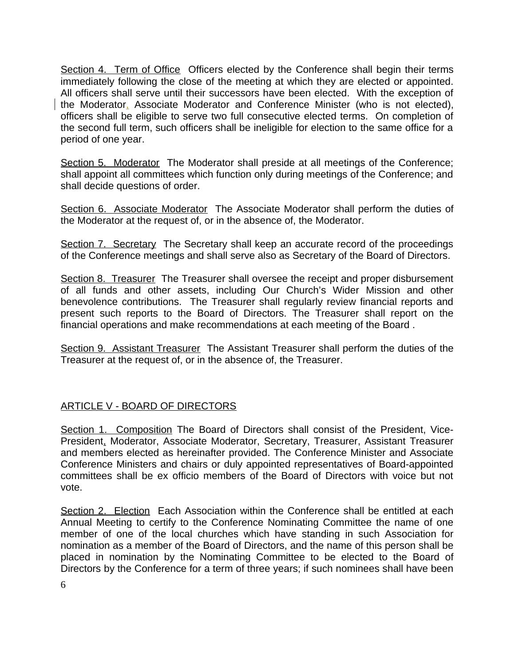Section 4. Term of Office Officers elected by the Conference shall begin their terms immediately following the close of the meeting at which they are elected or appointed. All officers shall serve until their successors have been elected. With the exception of the Moderator, Associate Moderator and Conference Minister (who is not elected), officers shall be eligible to serve two full consecutive elected terms. On completion of the second full term, such officers shall be ineligible for election to the same office for a period of one year.

Section 5. Moderator The Moderator shall preside at all meetings of the Conference; shall appoint all committees which function only during meetings of the Conference; and shall decide questions of order.

Section 6. Associate Moderator The Associate Moderator shall perform the duties of the Moderator at the request of, or in the absence of, the Moderator.

Section 7. Secretary The Secretary shall keep an accurate record of the proceedings of the Conference meetings and shall serve also as Secretary of the Board of Directors.

Section 8. Treasurer The Treasurer shall oversee the receipt and proper disbursement of all funds and other assets, including Our Church's Wider Mission and other benevolence contributions. The Treasurer shall regularly review financial reports and present such reports to the Board of Directors. The Treasurer shall report on the financial operations and make recommendations at each meeting of the Board .

Section 9. Assistant Treasurer The Assistant Treasurer shall perform the duties of the Treasurer at the request of, or in the absence of, the Treasurer.

## ARTICLE V - BOARD OF DIRECTORS

Section 1. Composition The Board of Directors shall consist of the President, Vice-President, Moderator, Associate Moderator, Secretary, Treasurer, Assistant Treasurer and members elected as hereinafter provided. The Conference Minister and Associate Conference Ministers and chairs or duly appointed representatives of Board-appointed committees shall be ex officio members of the Board of Directors with voice but not vote.

Section 2. Election Each Association within the Conference shall be entitled at each Annual Meeting to certify to the Conference Nominating Committee the name of one member of one of the local churches which have standing in such Association for nomination as a member of the Board of Directors, and the name of this person shall be placed in nomination by the Nominating Committee to be elected to the Board of Directors by the Conference for a term of three years; if such nominees shall have been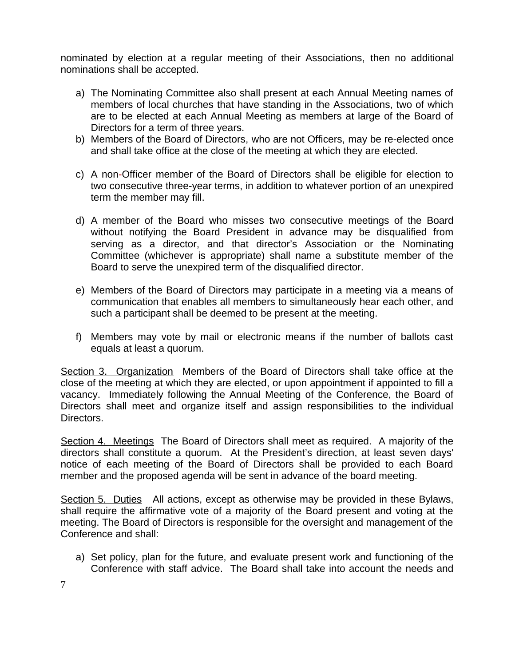nominated by election at a regular meeting of their Associations, then no additional nominations shall be accepted.

- a) The Nominating Committee also shall present at each Annual Meeting names of members of local churches that have standing in the Associations, two of which are to be elected at each Annual Meeting as members at large of the Board of Directors for a term of three years.
- b) Members of the Board of Directors, who are not Officers, may be re-elected once and shall take office at the close of the meeting at which they are elected.
- c) A non-Officer member of the Board of Directors shall be eligible for election to two consecutive three-year terms, in addition to whatever portion of an unexpired term the member may fill.
- d) A member of the Board who misses two consecutive meetings of the Board without notifying the Board President in advance may be disqualified from serving as a director, and that director's Association or the Nominating Committee (whichever is appropriate) shall name a substitute member of the Board to serve the unexpired term of the disqualified director.
- e) Members of the Board of Directors may participate in a meeting via a means of communication that enables all members to simultaneously hear each other, and such a participant shall be deemed to be present at the meeting.
- f) Members may vote by mail or electronic means if the number of ballots cast equals at least a quorum.

Section 3. Organization Members of the Board of Directors shall take office at the close of the meeting at which they are elected, or upon appointment if appointed to fill a vacancy. Immediately following the Annual Meeting of the Conference, the Board of Directors shall meet and organize itself and assign responsibilities to the individual Directors.

Section 4. Meetings The Board of Directors shall meet as required. A majority of the directors shall constitute a quorum. At the President's direction, at least seven days' notice of each meeting of the Board of Directors shall be provided to each Board member and the proposed agenda will be sent in advance of the board meeting.

Section 5. Duties All actions, except as otherwise may be provided in these Bylaws, shall require the affirmative vote of a majority of the Board present and voting at the meeting. The Board of Directors is responsible for the oversight and management of the Conference and shall:

a) Set policy, plan for the future, and evaluate present work and functioning of the Conference with staff advice. The Board shall take into account the needs and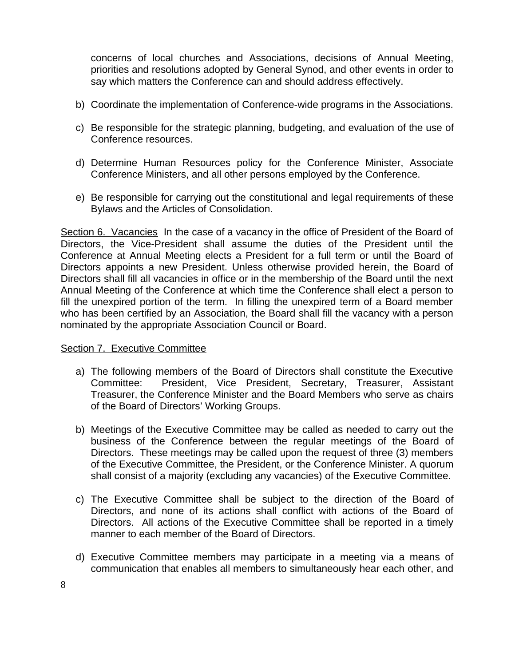concerns of local churches and Associations, decisions of Annual Meeting, priorities and resolutions adopted by General Synod, and other events in order to say which matters the Conference can and should address effectively.

- b) Coordinate the implementation of Conference-wide programs in the Associations.
- c) Be responsible for the strategic planning, budgeting, and evaluation of the use of Conference resources.
- d) Determine Human Resources policy for the Conference Minister, Associate Conference Ministers, and all other persons employed by the Conference.
- e) Be responsible for carrying out the constitutional and legal requirements of these Bylaws and the Articles of Consolidation.

Section 6. Vacancies In the case of a vacancy in the office of President of the Board of Directors, the Vice-President shall assume the duties of the President until the Conference at Annual Meeting elects a President for a full term or until the Board of Directors appoints a new President. Unless otherwise provided herein, the Board of Directors shall fill all vacancies in office or in the membership of the Board until the next Annual Meeting of the Conference at which time the Conference shall elect a person to fill the unexpired portion of the term. In filling the unexpired term of a Board member who has been certified by an Association, the Board shall fill the vacancy with a person nominated by the appropriate Association Council or Board.

### Section 7. Executive Committee

- a) The following members of the Board of Directors shall constitute the Executive Committee: President, Vice President, Secretary, Treasurer, Assistant Treasurer, the Conference Minister and the Board Members who serve as chairs of the Board of Directors' Working Groups.
- b) Meetings of the Executive Committee may be called as needed to carry out the business of the Conference between the regular meetings of the Board of Directors. These meetings may be called upon the request of three (3) members of the Executive Committee, the President, or the Conference Minister. A quorum shall consist of a majority (excluding any vacancies) of the Executive Committee.
- c) The Executive Committee shall be subject to the direction of the Board of Directors, and none of its actions shall conflict with actions of the Board of Directors. All actions of the Executive Committee shall be reported in a timely manner to each member of the Board of Directors.
- d) Executive Committee members may participate in a meeting via a means of communication that enables all members to simultaneously hear each other, and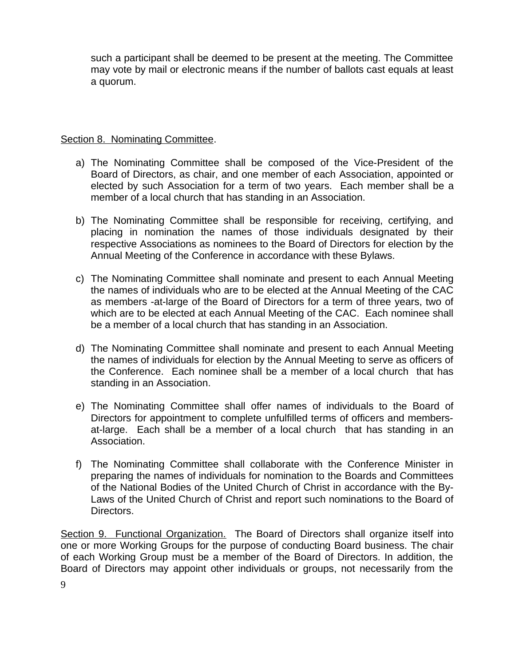such a participant shall be deemed to be present at the meeting. The Committee may vote by mail or electronic means if the number of ballots cast equals at least a quorum.

## Section 8. Nominating Committee.

- a) The Nominating Committee shall be composed of the Vice-President of the Board of Directors, as chair, and one member of each Association, appointed or elected by such Association for a term of two years. Each member shall be a member of a local church that has standing in an Association.
- b) The Nominating Committee shall be responsible for receiving, certifying, and placing in nomination the names of those individuals designated by their respective Associations as nominees to the Board of Directors for election by the Annual Meeting of the Conference in accordance with these Bylaws.
- c) The Nominating Committee shall nominate and present to each Annual Meeting the names of individuals who are to be elected at the Annual Meeting of the CAC as members -at-large of the Board of Directors for a term of three years, two of which are to be elected at each Annual Meeting of the CAC. Each nominee shall be a member of a local church that has standing in an Association.
- d) The Nominating Committee shall nominate and present to each Annual Meeting the names of individuals for election by the Annual Meeting to serve as officers of the Conference. Each nominee shall be a member of a local church that has standing in an Association.
- e) The Nominating Committee shall offer names of individuals to the Board of Directors for appointment to complete unfulfilled terms of officers and membersat-large. Each shall be a member of a local church that has standing in an Association.
- f) The Nominating Committee shall collaborate with the Conference Minister in preparing the names of individuals for nomination to the Boards and Committees of the National Bodies of the United Church of Christ in accordance with the By-Laws of the United Church of Christ and report such nominations to the Board of Directors.

Section 9. Functional Organization. The Board of Directors shall organize itself into one or more Working Groups for the purpose of conducting Board business. The chair of each Working Group must be a member of the Board of Directors. In addition, the Board of Directors may appoint other individuals or groups, not necessarily from the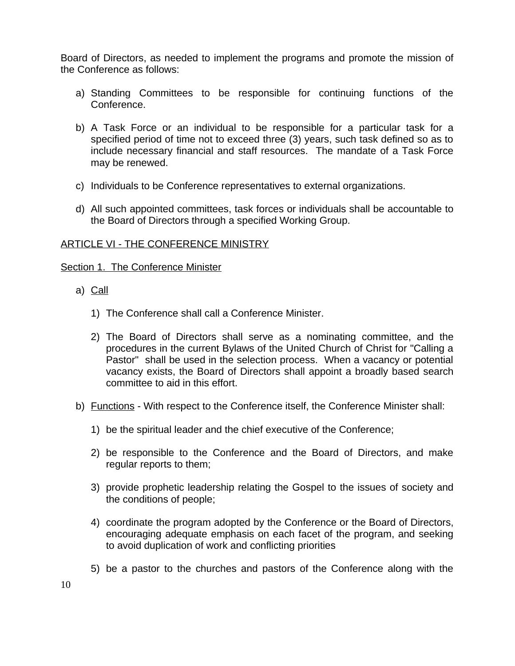Board of Directors, as needed to implement the programs and promote the mission of the Conference as follows:

- a) Standing Committees to be responsible for continuing functions of the Conference.
- b) A Task Force or an individual to be responsible for a particular task for a specified period of time not to exceed three (3) years, such task defined so as to include necessary financial and staff resources. The mandate of a Task Force may be renewed.
- c) Individuals to be Conference representatives to external organizations.
- d) All such appointed committees, task forces or individuals shall be accountable to the Board of Directors through a specified Working Group.

### ARTICLE VI - THE CONFERENCE MINISTRY

### Section 1. The Conference Minister

- a) Call
	- 1) The Conference shall call a Conference Minister.
	- 2) The Board of Directors shall serve as a nominating committee, and the procedures in the current Bylaws of the United Church of Christ for "Calling a Pastor" shall be used in the selection process. When a vacancy or potential vacancy exists, the Board of Directors shall appoint a broadly based search committee to aid in this effort.
- b) **Functions** With respect to the Conference itself, the Conference Minister shall:
	- 1) be the spiritual leader and the chief executive of the Conference;
	- 2) be responsible to the Conference and the Board of Directors, and make regular reports to them;
	- 3) provide prophetic leadership relating the Gospel to the issues of society and the conditions of people;
	- 4) coordinate the program adopted by the Conference or the Board of Directors, encouraging adequate emphasis on each facet of the program, and seeking to avoid duplication of work and conflicting priorities
	- 5) be a pastor to the churches and pastors of the Conference along with the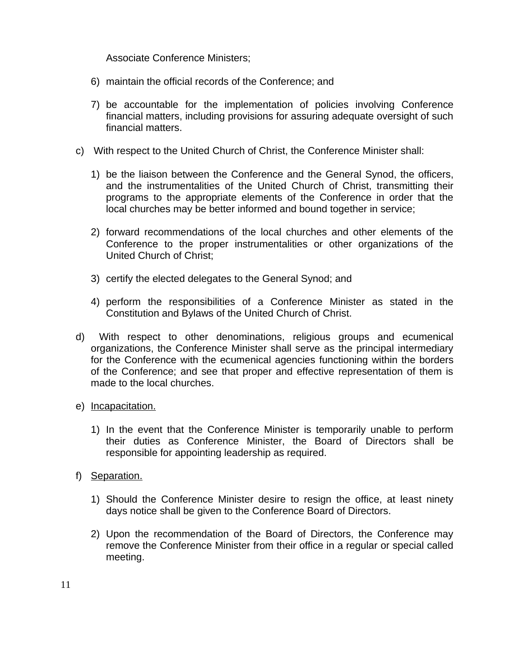Associate Conference Ministers;

- 6) maintain the official records of the Conference; and
- 7) be accountable for the implementation of policies involving Conference financial matters, including provisions for assuring adequate oversight of such financial matters.
- c) With respect to the United Church of Christ, the Conference Minister shall:
	- 1) be the liaison between the Conference and the General Synod, the officers, and the instrumentalities of the United Church of Christ, transmitting their programs to the appropriate elements of the Conference in order that the local churches may be better informed and bound together in service;
	- 2) forward recommendations of the local churches and other elements of the Conference to the proper instrumentalities or other organizations of the United Church of Christ;
	- 3) certify the elected delegates to the General Synod; and
	- 4) perform the responsibilities of a Conference Minister as stated in the Constitution and Bylaws of the United Church of Christ.
- d) With respect to other denominations, religious groups and ecumenical organizations, the Conference Minister shall serve as the principal intermediary for the Conference with the ecumenical agencies functioning within the borders of the Conference; and see that proper and effective representation of them is made to the local churches.
- e) Incapacitation.
	- 1) In the event that the Conference Minister is temporarily unable to perform their duties as Conference Minister, the Board of Directors shall be responsible for appointing leadership as required.
- f) Separation.
	- 1) Should the Conference Minister desire to resign the office, at least ninety days notice shall be given to the Conference Board of Directors.
	- 2) Upon the recommendation of the Board of Directors, the Conference may remove the Conference Minister from their office in a regular or special called meeting.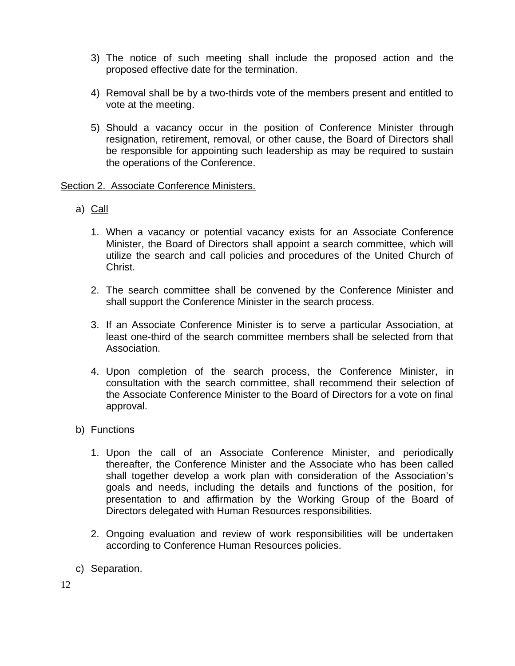- 3) The notice of such meeting shall include the proposed action and the proposed effective date for the termination.
- 4) Removal shall be by a two-thirds vote of the members present and entitled to vote at the meeting.
- 5) Should a vacancy occur in the position of Conference Minister through resignation, retirement, removal, or other cause, the Board of Directors shall be responsible for appointing such leadership as may be required to sustain the operations of the Conference.

Section 2. Associate Conference Ministers.

- a) Call
	- 1. When a vacancy or potential vacancy exists for an Associate Conference Minister, the Board of Directors shall appoint a search committee, which will utilize the search and call policies and procedures of the United Church of Christ.
	- 2. The search committee shall be convened by the Conference Minister and shall support the Conference Minister in the search process.
	- 3. If an Associate Conference Minister is to serve a particular Association, at least one-third of the search committee members shall be selected from that Association.
	- 4. Upon completion of the search process, the Conference Minister, in consultation with the search committee, shall recommend their selection of the Associate Conference Minister to the Board of Directors for a vote on final approval.
- b) Functions
	- 1. Upon the call of an Associate Conference Minister, and periodically thereafter, the Conference Minister and the Associate who has been called shall together develop a work plan with consideration of the Association's goals and needs, including the details and functions of the position, for presentation to and affirmation by the Working Group of the Board of Directors delegated with Human Resources responsibilities.
	- 2. Ongoing evaluation and review of work responsibilities will be undertaken according to Conference Human Resources policies.
- c) Separation.

12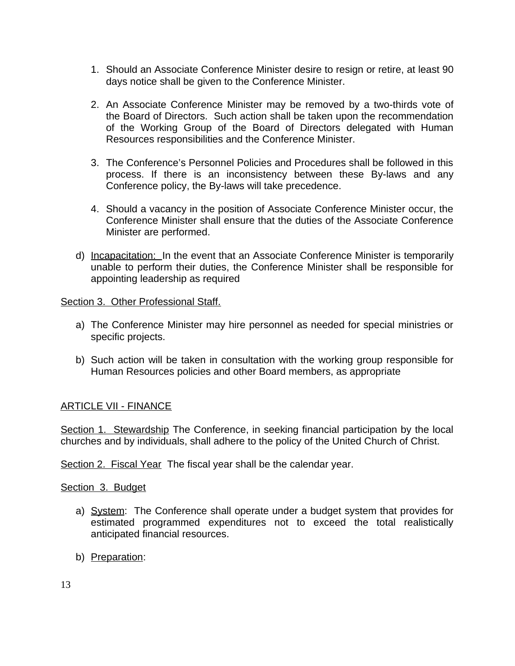- 1. Should an Associate Conference Minister desire to resign or retire, at least 90 days notice shall be given to the Conference Minister.
- 2. An Associate Conference Minister may be removed by a two-thirds vote of the Board of Directors. Such action shall be taken upon the recommendation of the Working Group of the Board of Directors delegated with Human Resources responsibilities and the Conference Minister.
- 3. The Conference's Personnel Policies and Procedures shall be followed in this process. If there is an inconsistency between these By-laws and any Conference policy, the By-laws will take precedence.
- 4. Should a vacancy in the position of Associate Conference Minister occur, the Conference Minister shall ensure that the duties of the Associate Conference Minister are performed.
- d) Incapacitation: In the event that an Associate Conference Minister is temporarily unable to perform their duties, the Conference Minister shall be responsible for appointing leadership as required

### Section 3. Other Professional Staff.

- a) The Conference Minister may hire personnel as needed for special ministries or specific projects.
- b) Such action will be taken in consultation with the working group responsible for Human Resources policies and other Board members, as appropriate

## ARTICLE VII - FINANCE

Section 1. Stewardship The Conference, in seeking financial participation by the local churches and by individuals, shall adhere to the policy of the United Church of Christ.

Section 2. Fiscal Year The fiscal year shall be the calendar year.

### Section 3. Budget

- a) System: The Conference shall operate under a budget system that provides for estimated programmed expenditures not to exceed the total realistically anticipated financial resources.
- b) Preparation: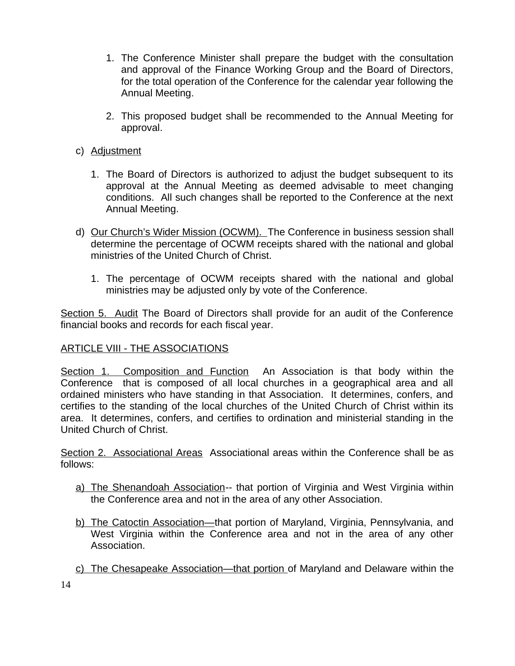- 1. The Conference Minister shall prepare the budget with the consultation and approval of the Finance Working Group and the Board of Directors, for the total operation of the Conference for the calendar year following the Annual Meeting.
- 2. This proposed budget shall be recommended to the Annual Meeting for approval.
- c) Adjustment
	- 1. The Board of Directors is authorized to adjust the budget subsequent to its approval at the Annual Meeting as deemed advisable to meet changing conditions. All such changes shall be reported to the Conference at the next Annual Meeting.
- d) Our Church's Wider Mission (OCWM). The Conference in business session shall determine the percentage of OCWM receipts shared with the national and global ministries of the United Church of Christ.
	- 1. The percentage of OCWM receipts shared with the national and global ministries may be adjusted only by vote of the Conference.

Section 5. Audit The Board of Directors shall provide for an audit of the Conference financial books and records for each fiscal year.

## ARTICLE VIII - THE ASSOCIATIONS

Section 1. Composition and Function An Association is that body within the Conference that is composed of all local churches in a geographical area and all ordained ministers who have standing in that Association. It determines, confers, and certifies to the standing of the local churches of the United Church of Christ within its area. It determines, confers, and certifies to ordination and ministerial standing in the United Church of Christ.

Section 2. Associational Areas Associational areas within the Conference shall be as follows:

- a) The Shenandoah Association-- that portion of Virginia and West Virginia within the Conference area and not in the area of any other Association.
- b) The Catoctin Association—that portion of Maryland, Virginia, Pennsylvania, and West Virginia within the Conference area and not in the area of any other Association.
- c) The Chesapeake Association—that portion of Maryland and Delaware within the